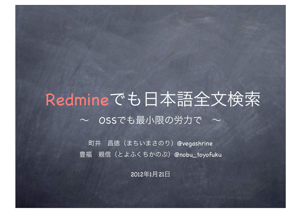## Redmineでも日本語全文検索  $\sim$  OSSでも最小限の労力で ~

町井 昌徳(まちいまさのり)@vegashrine 豊福 親信 (とよふくちかのぶ) @nobu\_toyofuku

2012年1月21日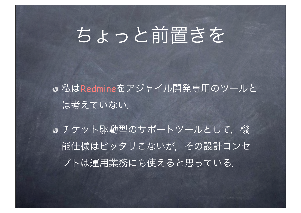# ちょっと前置きを

私はRedmineをアジャイル開発専用のツールと は考えていない.

● チケット駆動型のサポートツールとして、機 能仕様はピッタリこないが、その設計コンセ プトは運用業務にも使えると思っている.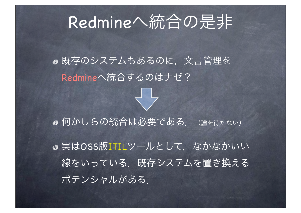## Redmineへ統合の是非

既存のシステムもあるのに,文書管理を Redmineへ統合するのはナゼ?

●何かしらの統合は必要である. (論を待たない)

●実はOSS版ITILツールとして、なかなかいい 線をいっている.既存システムを置き換える ポテンシャルがある.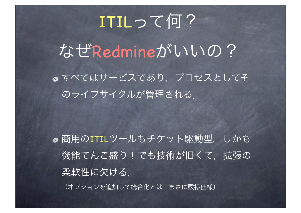# ITILって何? なぜRedmineがいいの? すべてはサービスであり,プロセスとしてそ のライフサイクルが管理される.

●商用のITILツールもチケット駆動型, しかも 機能てんこ盛り!でも技術が旧くて、拡張の 柔軟性に欠ける. (オプションを追加して統合化とは,まさに殿様仕様)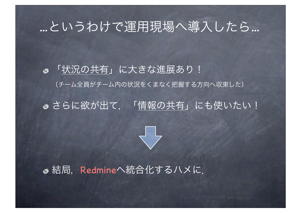## ...というわけで運用現場へ導入したら...

「状況の共有」に大きな進展あり! (チーム全員がチーム内の状況をくまなく把握する方向へ収束した)

### ●さらに欲が出て、「情報の共有」にも使いたい!



● 結局, Redmineへ統合化するハメに.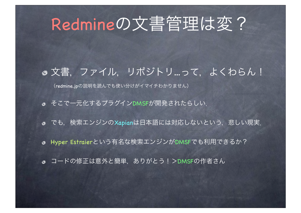# Redmineの文書管理は変?

### ● 文書, ファイル, リポジトリ…って, よくわらん!

(redmine.jpの説明を読んでも使い分けがイマイチわかりません)

そこで一元化するプラグインDMSFが開発されたらしい.

● でも, 検索エンジンのXapianは日本語には対応しないという, 悲しい現実.

Hyper Estraierという有名な検索エンジンがDMSFでも利用できるか?

**◎** コードの修正は意外と簡単, ありがとう!>DMSFの作者さん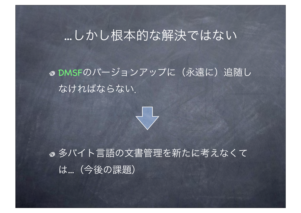## ...しかし根本的な解決ではない

### DMSFのバージョンアップに(永遠に)追随し なければならない.



●多バイト言語の文書管理を新たに考えなくて は...(今後の課題)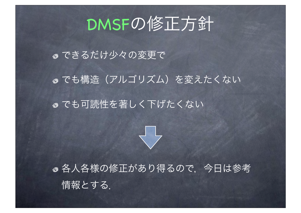## DMSFの修正方針

できるだけ少々の変更で ●でも構造(アルゴリズム)を変えたくない ● でも可読性を著しく下げたくない



●各人各様の修正があり得るので、今日は参考 情報とする.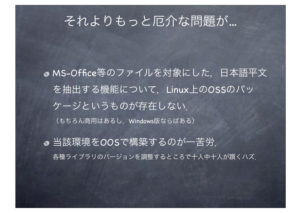## それよりもっと厄介な問題が...

● MS-Office等のファイルを対象にした、日本語平文 を抽出する機能について,Linux上のOSSのパッ ケージというものが存在しない. (もちろん商用はあるし、Windows版ならばある)

当該環境をOOSで構築するのが一苦労. 各種ライブラリのバージョンを調整するところで十人中十人が躓くハズ.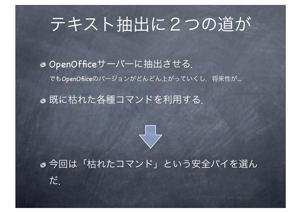# テキスト抽出に2つの道が

### o OpenOfficeサーバーに抽出させる. でもOpenOfiiceのバージョンがどんどん上がっていくし,将来性が...

### 既に枯れた各種コマンドを利用する.

だ.

### 今回は「枯れたコマンド」という安全パイを選ん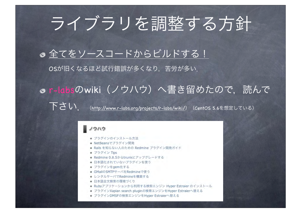# ライブラリを調整する方針

### ●全てをソースコードからビルドする!

OSが旧くなるほど試行錯誤が多くなり,苦労が多い.

# or-labsのwiki (ノウハウ)へ書き留めたので、読んで

下さい. (http://www.r-labs.org/projects/r-labs/wiki/) (CentOS 5.6を想定している)

#### ノウハウ

- ◆ プラグインのインストール方法
- ◆ NetBeansでプラグイン開発
- ◆ Rails を知らない人のための Redmine プラグイン開発ガイド
- ◆ プラグイン Tips
- Redmine 0.8.5からtrunkにアップグレードする
- ◆ 日本語化されていないプラグインを使う
- プラグインをgem化する
- ◆ GMailのSMTPサーバをRedmineで使う
- ◆ レンタルサーバでRedmineを構築する
- ◆ 日本語全文検索の環境づくり
- ◆ Rubyアプリケーションから利用する検索エンジン Hyper Estraier のインストール
- ◆ プラグインXapian search pluginの検索エンジンをHyper Estraierへ替える
- ◆ プラグインDMSFの検索エンジンをHyper Estraierへ替える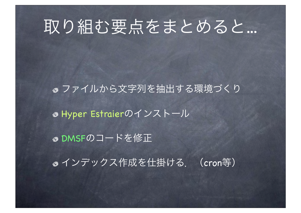## 取り組む要点をまとめると...

ファイルから文字列を抽出する環境づくり Hyper Estraierのインストール DMSFのコードを修正

● インデックス作成を仕掛ける. (cron等)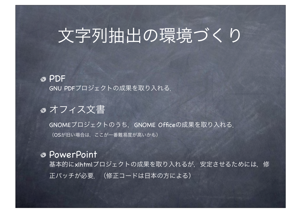# 文字列抽出の環境づくり

PDF GNU PDFプロジェクトの成果を取り入れる.

### ●オフィス文書

GNOMEプロジェクトのうち, GNOME Officeの成果を取り入れる. (OSが旧い場合は,ここが一番難易度が高いかも)

### PowerPoint

基本的にxlhtmlプロジェクトの成果を取り入れるが、安定させるためには、修 正パッチが必要. (修正コードは日本の方による)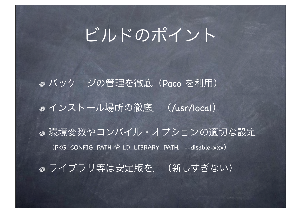# ビルドのポイント

パッケージの管理を徹底(Paco を利用) ● インストール場所の徹底. (/usr/local) ● 環境変数やコンパイル・オプションの適切な設定 (PKG\_CONFIG\_PATH や LD\_LIBRARY\_PATH, --disable-xxx) ●ライブラリ等は安定版を. (新しすぎない)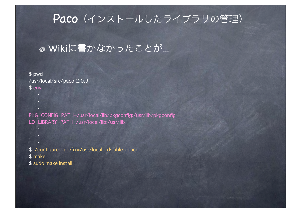### Paco (インストールしたライブラリの管理)

### ● Wikiに書かなかったことが...

\$ pwd /usr/local/src/paco-2.0.9  $$ env$ 

PKG\_CONFIG\_PATH=/usr/local/lib/pkgconfig:/usr/lib/pkgconfig LD\_LIBRARY\_PATH=/usr/local/lib:/usr/lib

\$ ./configure --prefix=/usr/local --dsiable-gpaco \$ make \$ sudo make install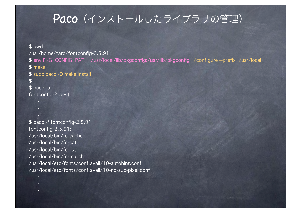### Paco (インストールしたライブラリの管理)

\$ pwd /usr/home/taro/fontconfig-2.5.91 \$ env PKG\_CONFIG\_PATH=/usr/local/lib/pkgconfig:/usr/lib/pkgconfig ./configure --prefix=/usr/local \$ make \$ sudo paco -D make install  $\mathfrak{L}$  $$$  paco -a fontconfig-2.5.91

\$ paco -f fontconfig-2.5.91 fontconfig-2.5.91: /usr/local/bin/fc-cache /usr/local/bin/fc-cat /usr/local/bin/fc-list /usr/local/bin/fc-match /usr/local/etc/fonts/conf.avail/10-autohint.conf /usr/local/etc/fonts/conf.avail/10-no-sub-pixel.conf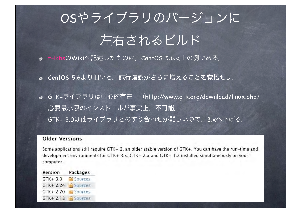# OSやライブラリのバージョンに 左右されるビルド

- r-labsのWikiへ記述したものは、CentOS 5.6以上の例である.
- CentOS 5.6より旧いと、試行錯誤がさらに増えることを覚悟せよ.
- GTK+ライブラリは中心的存在. (http://www.gtk.org/download/linux.php) 必要最小限のインストールが事実上, 不可能. GTK+ 3.0は他ライブラリとのすり合わせが難しいので、2.xへ下げる.

#### **Older Versions**

Some applications still require GTK+ 2, an older stable version of GTK+. You can have the run-time and development environments for GTK+ 3.x, GTK+ 2.x and GTK+ 1.2 installed simultaneously on your computer.

Version **Packages**  $GTK + 3.0$ Sources  $GTK + 2.24$  Sources  $GTK+2.20$ Sources  $GTK + 2.18$  **E** Sources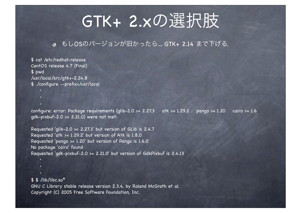## GTK+ 2.xの選択肢

#### ● もしOSのバージョンが旧かったら… GTK+ 2.14 まで下げる.

\$ cat /etc/redhat-release CentOS release 4.7 (Final) \$ pwd /usr/local/src/qtk+-2.24.8 \$ ./configure --prefix=/usr/local

configure: error: Package requirements (glib-2.0 >= 2.27.3 pango >=  $1.20$  $cairo \ge 1.6$ atk  $>= 1.29.2$  $qdk-pixbuf-2.0$  >= 2.21.0) were not met:

Requested 'qlib-2.0 >=  $2.27.3'$  but version of GLib is 2.4.7 Requested 'atk >= 1.29.2' but version of Atk is 1.8.0 Requested 'pango >= 1.20' but version of Pango is 1.6.0 No package 'cairo' found Requested 'qdk-pixbuf-2.0 >= 2.21.0' but version of GdkPixbuf is 2.4.13

 $$$   $$$  /lib/libc.so<sup>\*</sup> GNU C Library stable release version 2.3.4, by Roland McGrath et al. Copyright (C) 2005 Free Software Foundation, Inc.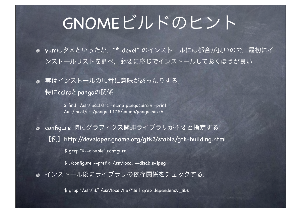## GNOMEビルドのヒント

● yumはダメといったが, "\*-devel" のインストールには都合が良いので, 最初にイ ンストールリストを調べ,必要に応じでインストールしておくほうが良い.

実はインストールの順番に意味があったりする. 特にcairoとpangoの関係

> \$ find /usr/local/src -name pangocairo.h -print /usr/local/src/pango-1.17.5/pango/pangocairo.h

configure 時にグラフィクス関連ライブラリが不要と指定する. 【例】http://developer.gnome.org/gtk3/stable/gtk-building.html

\$ grep "¥--disable" configure

\$ ./configure --prefix=/usr/local --disable-jpeg

インストール後にライブラリの依存関係をチェックする.

\$ grep "/usr/lib" /usr/local/lib/\*.la | grep dependency\_libs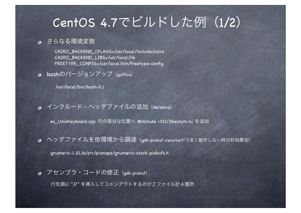## CentOS 4.7でビルドした例(1/2)

さらなる環境変数

CAIRO\_BACKEND\_CFLAGS=/usr/local/include/cairo CAIRO\_BACKEND\_LIBS=/usr/local/lib FREETYPE\_CONFIG=/usr/local/bin/freetype-config

bashのバージョンアップ (goffice)

/usr/local/bin/bash-3.1

● インクルード・ヘッダファイルの追加 (AbiWord)

ev\_UnixKeyboard.cpp 内の適当な位置へ #include <X11/Xkeysym.h> を追加

● ヘッダファイルを他環境から調達(gdk-pixbuf-csourceがうまく動作しない時の対処療法)

gnumeric-1.10.16/src/pixmaps/gnumeric-stock-pixbufs.h

● アセンブラ・コードの修正 (gdk-pixbuf)

行先頭に "//" を挿入してコメンアウトするのが2ファイル計4箇所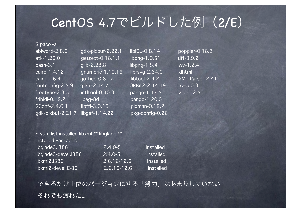## CentOS 4.7でビルドした例(2/E)

| $$$ paco -a       |                   |                                   |
|-------------------|-------------------|-----------------------------------|
| abiword-2.8.6     | gdk-pixbuf-2.22.1 | libIDL-0.8.14                     |
| atk-1.26.0        | gettext-0.18.1.1  | $\overline{\text{libpng-1.0.51}}$ |
| $bash-3.1$        | $glib-2.28.8$     | libpng- $1.5.4$                   |
| cairo-1.4.12      | gnumeric-1.10.16  | librsvg-2.34.0                    |
| cairo-1.6.4       | goffice-0.8.17    | libtool-2.4.2                     |
| fontconfig-2.5.91 | gtk+-2.14.7       | ORBit2-2.14.19                    |
| freetype-2.3.5    | intltool-0.40.3   | pango-1.17.5                      |
| fribidi-0.19.2    | jpeg-8d           | pango-1.20.5                      |
| GConf-2.4.0.1     | libffi-3.0.10     | pixman-0.19.2                     |
| gdk-pixbuf-2.21.7 | libgsf-1.14.22    | pkg-config-0.26                   |

8.14 poppler-0.18.3  $.0.51$  tiff-3.9.2  $b.5.4$  wv-1.2.4  $2.34.0$  xlhtml 2.4.2 **XML-Parser-2.41**  $f(2.14.19)$  xz-5.0.3  $f: 17.5$   $zlib-1.2.5$ 

| $\frac{1}{2}$ yum list installed libxml2* libglade2* |             |           |
|------------------------------------------------------|-------------|-----------|
| <b>Installed Packages</b>                            |             |           |
| libglade2.i386                                       | $2.4.0 - 5$ | installed |
| libglade2-devel.i386                                 | $2.4.0 - 5$ | installed |
| likxml2.i386                                         | 2.6.16-12.6 | installed |
| libxml2-devel.i386                                   | 2.6.16-12.6 | installed |
|                                                      |             |           |

できるだけ上位のバージョンにする「努力」はあまりしていない. それでも疲れた...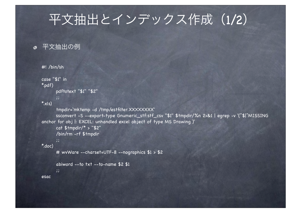## 平文抽出とインデックス作成 (1/2)

#### ● 平文抽出の例

```
#! /bin/sh
case "$1" in
*.pdf)
       pdftotext "$1" "$2"
        ;;
*_{x|s} tmpdir=`mktemp -d /tmp/estfilter.XXXXXXXX`
       ssconvert -S --export-type Gnumeric_stf:stf_csv "$1" $tmpdir/%n 2>&1 | egrep -v '(^$|^MISSING 
anchor for obj |: EXCEL: unhandled excel object of type MS Drawing )'
       cat $tmpdir/* > "$2"
       /bin/rm -rf $tmpdir
       ;;
*.doc)
       # wvWare --charset=UTF-8 --nographics $1 > $2
       abiword --to txt --to-name $2 $1
       ;;
esac
```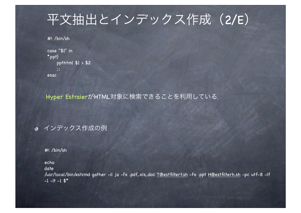## 平文抽出とインデックス作成(2/E)

#! /bin/sh

```
case "$1" in
*.ppt)
    ppthtml $1 > $2
    ;;
esac
```
Hyper EstraierがHTML対象に検索できることを利用している.

### インデックス作成の例

#! /bin/sh

echo

date

/usr/local/bin/estcmd gather -il ja -fx .pdf,.xls,.doc T@estfiltert.sh -fx .ppt H@estfilterh.sh -pc utf-8 -lf  $-1$   $-1$   $-1$   $\frac{4}{3}$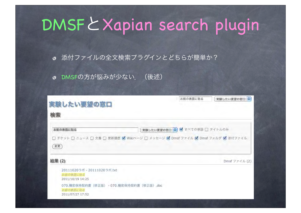# DMSFとXapian search plugin

添付ファイルの全文検索プラグインとどちらが簡単か?

DMSFの方が悩みが少ない.(後述)

| 実験したい要望の窓口<br>検索                                            | お能の表面に貼る<br>$\overline{\phantom{a}}$                                                                           | 実験したい要望の窓口 ↓                 |
|-------------------------------------------------------------|----------------------------------------------------------------------------------------------------------------|------------------------------|
| お能の表面に貼る<br>変更                                              | 実験したい要望の窓口 ◆ 図 すべての単語 □ タイトルのみ<br>□ チケット □ ニュース □ 文書 □ 更新履歴 ■ Wikiページ □ メッセージ ■ Dmsf ファイル ■ Dmsf フォルダ ■ 添付ファイル |                              |
|                                                             |                                                                                                                |                              |
| 結果 (2)                                                      |                                                                                                                | Dmsf $7 \times 1$ $\cup$ (2) |
| 20111020ラボ - 20111020ラボ,txt<br>お薦の表面に熱る<br>2011/10/19 14:25 |                                                                                                                |                              |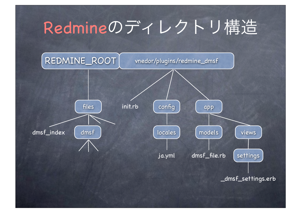# Redmineのディレクトリ構造

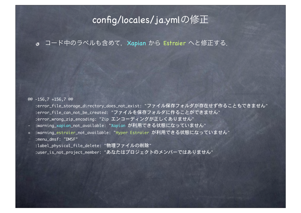### config/locales/ja.ymlの修正

#### ● コード中のラベルも含めて, Xapian から Estraier へと修正する.

#### @@ -156,7 +156,7 @@

- :error\_file\_storage\_directory\_does\_not\_exist: "ファイル保存フォルダが存在せず作ることもできません" :error\_file\_can\_not\_be\_created: "ファイルを保存フォルダに作ることができません" :error\_wrong\_zip\_encoding: "Zip エンコーディングが正しくありません"
- :warning\_xapian\_not\_available: "Xapian が利用できる状態になっていません"
- + :warning\_estraier\_not\_available: "Hyper Estraier が利用できる状態になっていません" :menu\_dmsf: "DMSF"
	- :label\_physical\_file\_delete: "物理ファイルの削除"
	- :user\_is\_not\_project\_member: "あなたはプロジェクトのメンバーではありません"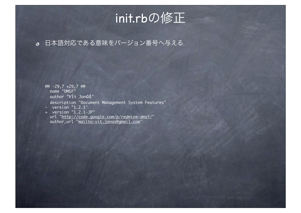## init.rbの修正

#### 日本語対応である意味をバージョン番号へ与える.

@@ -29,7 +29,7 @@<br>mame "DMSF" ᴆᴆauthor "Vít Jonáš" description "Document Management System Features"  $-$  version "1.2.1" + version "1.2.1-JP" url "<u>http://code.google.com/p/redmine-dmsf/</u>"<br>author\_url "<u>mailto:vit.jonas@gmail.com</u>"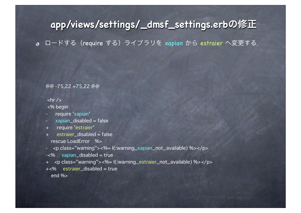### **app/views/settings/\_dmsf\_settings.erb**の修正

● ロードする (require する) ライブラリを xapian から estraier へ変更する.

@@ -75,22 +75,22 @@

 $\frac{1}{2}$ <% begin

- require 'xapian'
- xapian\_disabled = false
- + require 'estraier'
- + estraier\_disabled = false rescue LoadError %>
- <p class="warning"><%= l(:warning\_xapian\_not\_available) %></p>
- -<% xapian\_disabled = true
- + <p class="warning"><%= l(:warning\_estraier\_not\_available) %></p>
- +<% estraier\_disabled = true end %>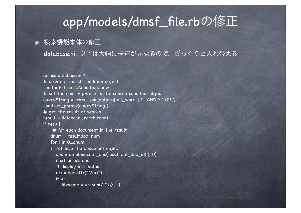## app/models/dmsf\_file.rbの修正

#### ● 検索機能本体の修正

database.nil 以下は大幅に構造が異なるので、ざっくりと入れ替える.

```
unless database.nil?
# create a search condition object
cond = Estraier::Condition::new
# set the search phrase to the search condition object
queryString = tokens.join(options[:all_words] ? ' AND ': ' OR ')
cond.set_phrase(queryString )
# get the result of search
result = database.search(cond)
if result
     # for each document in the result
    dnum = result.doc_num
    for i in 0...dnum
    # retrieve the document object
       doc = database.get_doc(result.get_doc_id(i), 0)
       next unless doc
       # display attributes
       uri = doc.attr("@uri")
       if uri
         filename = uri.sub(\frac{\lambda}{\lambda})/\lambda, ")
```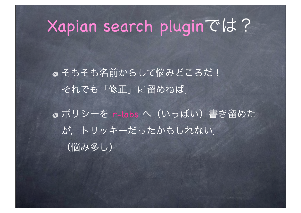## Xapian search pluginでは?

● そもそも名前からして悩みどころだ! それでも「修正」に留めねば.

● ポリシーを r-labs へ (いっぱい) 書き留めた が,トリッキーだったかもしれない. (悩み多し)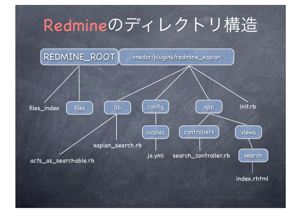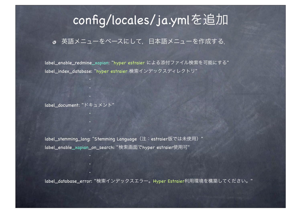## config/locales/ja.ymlを追加

#### ● 英語メニューをベースにして、日本語メニューを作成する.

label\_enable\_redmine\_xapian: "hyper estraier による添付ファイル検索を可能にする" label\_index\_database: "hyper estraier 検索インデックスディレクトリ"

label\_document: "ドキュメント"

label\_stemming\_lang: "Stemming Language (注: estraier版では未使用) " label\_enable\_xapian\_on\_search: "検索画面でhyper estraier使用可"

label\_database\_error: "検索インデックスエラー。Hyper Estraier利用環境を構築してください。"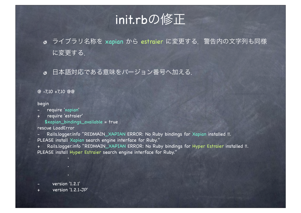## init.rbの修正

- ライブラリ名称を xapian から estraier に変更する.警告内の文字列も同様 に変更する.
- 日本語対応である意味をバージョン番号へ加える.

#### @ -7,10 +7,10 @@

#### begin

- require 'xapian'
- + require 'estraier'
	- \$xapian\_bindings\_available = true

#### rescue LoadError

- Rails.logger.info "REDMAIN\_XAPIAN ERROR: No Ruby bindings for Xapian installed !!.
- PLEASE install Xapian search engine interface for Ruby."
- Rails.logger.info "REDMAIN\_XAPIAN ERROR: No Ruby bindings for Hyper Estraier installed !!. PLEASE install Hyper Estraier search engine interface for Ruby."

- version '1.2.1'
- version '1.2.1-JP'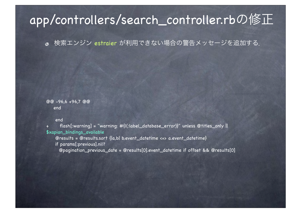## app/controllers/search\_controller.rbの修正

検索エンジン estraier が利用できない場合の警告メッセージを追加する.

@@ -96,6 +96,7 @@ end

end

+ flash[:warning] = "warning: #{l(:label\_database\_error)}" unless @titles\_only || \$xapian\_bindings\_available

@results = @results.sort {|a,b| b.event\_datetime <=> a.event\_datetime}

if params[:previous].nil?

@pagination\_previous\_date = @results[0].event\_datetime if offset && @results[0]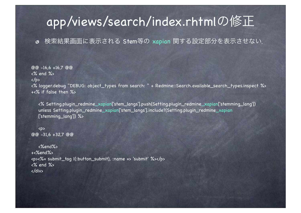## app/views/search/index.rhtmlの修正

#### 検索結果画面に表示される Stem等の xapian 関する設定部分を表示させない.

@@ -16,6 +16,7 @@ <% end %>  $\langle$ /p> <% logger.debug "DEBUG: object\_types from search: " + Redmine::Search.available\_search\_types.inspect %> +<% if false then %>

<% Setting.plugin\_redmine\_xapian['stem\_langs'].push(Setting.plugin\_redmine\_xapian['stemming\_lang']) unless Setting.plugin\_redmine\_xapian['stem\_langs'].include?(Setting.plugin\_redmine\_xapian ['stemming\_lang']) %>

```
<p>
@@ -31,6 +32,7 @@
```
<%end%> +<%end%> <p><%= submit\_tag l(:button\_submit), :name => 'submit' %></p> <% end %> </div>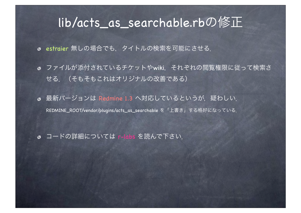### lib/acts\_as\_searchable.rbの修正

estraier 無しの場合でも,タイトルの検索を可能にさせる.

- ファイルが添付されているチケットやwiki,それぞれの閲覧権限に従って検索さ せる.(そもそもこれはオリジナルの改善である)
- **最新バージョンは Redmine 1.3 へ対応しているというが**, 疑わしい. REDMINE\_ROOT/vendor/plugins/acts\_as\_searchable を「上書き」する格好になっている.
- コードの詳細については r-labs を読んで下さい.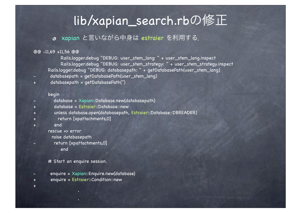## lib/xapian\_search.rbの修正

#### xapian と言いながら中身は estraier を利用する.

#### @@ -11,69 +11,56 @@

 Rails.logger.debug "DEBUG: user\_stem\_lang: " + user\_stem\_lang.inspect Rails.logger.debug "DEBUG: user\_stem\_strategy: " + user\_stem\_strategy.inspect Rails.logger.debug "DEBUG: databasepath: " + getDatabasePath(user\_stem\_lang)

- databasepath = getDatabasePath(user\_stem\_lang)
- + databasepath = getDatabasePath('')

#### begin

- database = Xapian::Database.new(databasepath)
- + database = Estraier::Database::new
- + unless database.open(databasepath, Estraier::Database::DBREADER)
- + return [xpattachments,0]
- + end

```
 rescue => error
```

```
 raise databasepath
```
return [xpattachments,0] end

#### # Start an enquire session.

- enquire = Xapian::Enquire.new(database)
- + enquire = Estraier::Condition::new
- +